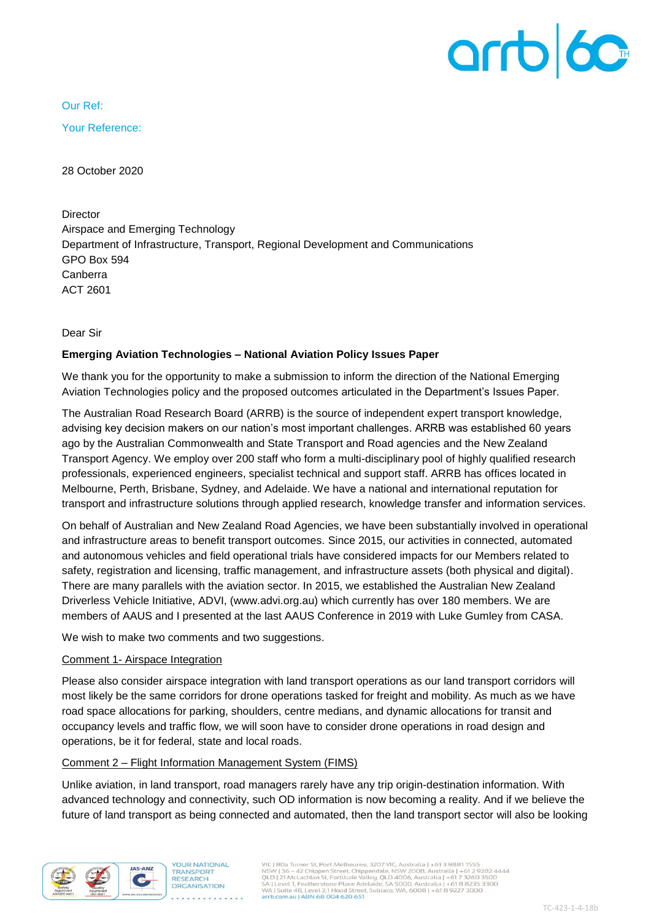

Our Ref:

Your Reference:

28 October 2020

**Director** Airspace and Emerging Technology Department of Infrastructure, Transport, Regional Development and Communications GPO Box 594 Canberra ACT 2601

Dear Sir

#### **Emerging Aviation Technologies – National Aviation Policy Issues Paper**

We thank you for the opportunity to make a submission to inform the direction of the National Emerging Aviation Technologies policy and the proposed outcomes articulated in the Department's Issues Paper.

The Australian Road Research Board (ARRB) is the source of independent expert transport knowledge, advising key decision makers on our nation's most important challenges. ARRB was established 60 years ago by the Australian Commonwealth and State Transport and Road agencies and the New Zealand Transport Agency. We employ over 200 staff who form a multi-disciplinary pool of highly qualified research professionals, experienced engineers, specialist technical and support staff. ARRB has offices located in Melbourne, Perth, Brisbane, Sydney, and Adelaide. We have a national and international reputation for transport and infrastructure solutions through applied research, knowledge transfer and information services.

On behalf of Australian and New Zealand Road Agencies, we have been substantially involved in operational and infrastructure areas to benefit transport outcomes. Since 2015, our activities in connected, automated and autonomous vehicles and field operational trials have considered impacts for our Members related to safety, registration and licensing, traffic management, and infrastructure assets (both physical and digital). There are many parallels with the aviation sector. In 2015, we established the Australian New Zealand Driverless Vehicle Initiative, ADVI, (www.advi.org.au) which currently has over 180 members. We are members of AAUS and I presented at the last AAUS Conference in 2019 with Luke Gumley from CASA.

We wish to make two comments and two suggestions.

### Comment 1- Airspace Integration

Please also consider airspace integration with land transport operations as our land transport corridors will most likely be the same corridors for drone operations tasked for freight and mobility. As much as we have road space allocations for parking, shoulders, centre medians, and dynamic allocations for transit and occupancy levels and traffic flow, we will soon have to consider drone operations in road design and operations, be it for federal, state and local roads.

# Comment 2 – Flight Information Management System (FIMS)

Unlike aviation, in land transport, road managers rarely have any trip origin-destination information. With advanced technology and connectivity, such OD information is now becoming a reality. And if we believe the future of land transport as being connected and automated, then the land transport sector will also be looking

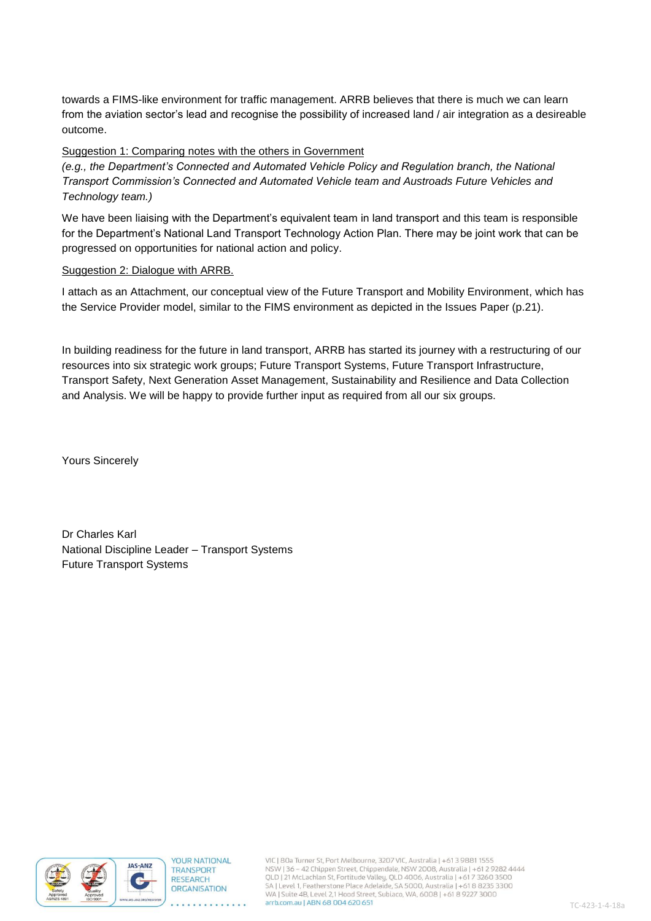towards a FIMS-like environment for traffic management. ARRB believes that there is much we can learn from the aviation sector's lead and recognise the possibility of increased land / air integration as a desireable outcome.

# Suggestion 1: Comparing notes with the others in Government

*(e.g., the Department's Connected and Automated Vehicle Policy and Regulation branch, the National Transport Commission's Connected and Automated Vehicle team and Austroads Future Vehicles and Technology team.)*

We have been liaising with the Department's equivalent team in land transport and this team is responsible for the Department's National Land Transport Technology Action Plan. There may be joint work that can be progressed on opportunities for national action and policy.

### Suggestion 2: Dialogue with ARRB.

I attach as an Attachment, our conceptual view of the Future Transport and Mobility Environment, which has the Service Provider model, similar to the FIMS environment as depicted in the Issues Paper (p.21).

In building readiness for the future in land transport, ARRB has started its journey with a restructuring of our resources into six strategic work groups; Future Transport Systems, Future Transport Infrastructure, Transport Safety, Next Generation Asset Management, Sustainability and Resilience and Data Collection and Analysis. We will be happy to provide further input as required from all our six groups.

Yours Sincerely

Dr Charles Karl National Discipline Leader – Transport Systems Future Transport Systems



and and and and article